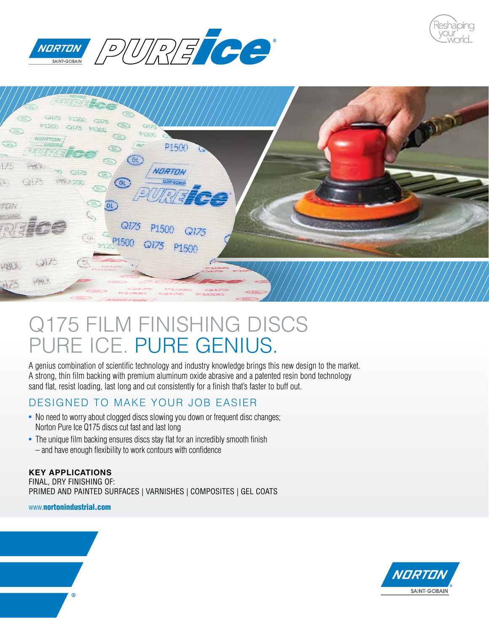





# Q175 FILM FINISHING DISCS PURE ICE. PURE GENIUS.

A genius combination of scientific technology and industry knowledge brings this new design to the market. A strong, thin film backing with premium aluminum oxide abrasive and a patented resin bond technology sand flat, resist loading, last long and cut consistently for a finish that's faster to buff out.

# DESIGNED TO MAKE YOUR JOB EASIER

- No need to worry about clogged discs slowing you down or frequent disc changes; Norton Pure Ice Q175 discs cut fast and last long
- The unique film backing ensures discs stay flat for an incredibly smooth finish – and have enough flexibility to work contours with confidence

#### **KEY APPLICATIONS** FINAL, DRY FINISHING OF: PRIMED AND PAINTED SURFACES | VARNISHES | COMPOSITES | GEL COATS

www.nortonindustrial.com